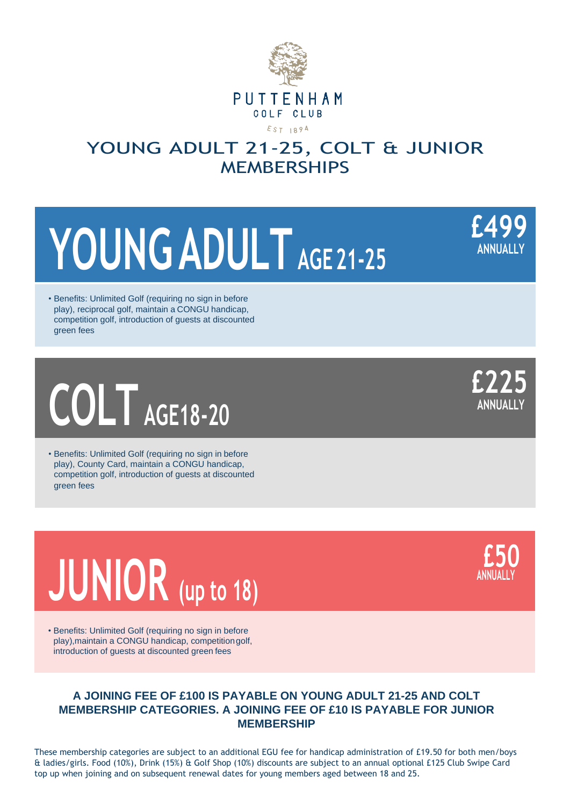

### YOUNG ADULT 21-25, COLT & JUNIOR **MEMBERSHIPS**

## **YOUNGADULT AGE 21-25**

• Benefits: Unlimited Golf (requiring no sign in before play), reciprocal golf, maintain a CONGU handicap, competition golf, introduction of guests at discounted green fees

## **COLT AGE18-20**

• Benefits: Unlimited Golf (requiring no sign in before play), County Card, maintain a CONGU handicap, competition golf, introduction of guests at discounted green fees

# **ANNUALLY JUNIOR (up to 18)**

• Benefits: Unlimited Golf (requiring no sign in before play),maintain a CONGU handicap, competitiongolf, introduction of guests at discounted green fees

### **A JOINING FEE OF £100 IS PAYABLE ON YOUNG ADULT 21-25 AND COLT MEMBERSHIP CATEGORIES. A JOINING FEE OF £10 IS PAYABLE FOR JUNIOR MEMBERSHIP**

These membership categories are subject to an additional EGU fee for handicap administration of £19.50 for both men/boys & ladies/girls. Food (10%), Drink (15%) & Golf Shop (10%) discounts are subject to an annual optional £125 Club Swipe Card top up when joining and on subsequent renewal dates for young members aged between 18 and 25.





**£225 ANNUALLY**